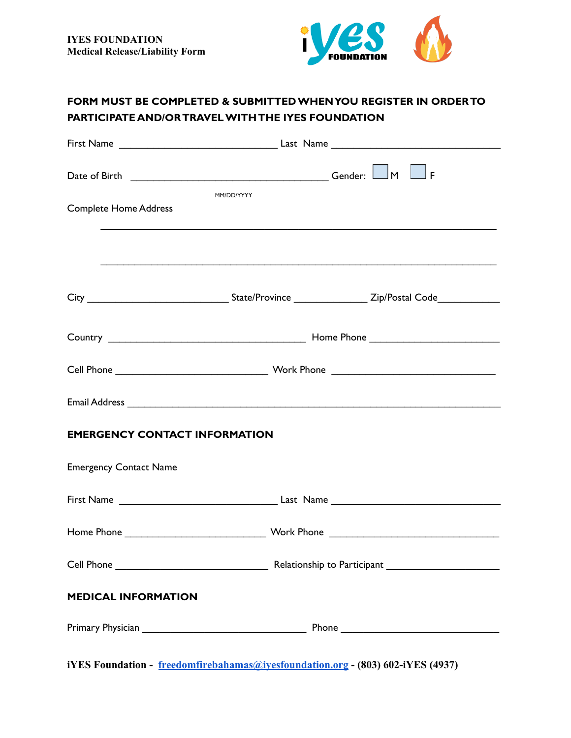

# **FORM MUST BE COMPLETED & SUBMITTEDWHENYOU REGISTER IN ORDERTO PARTICIPATE AND/ORTRAVELWITHTHE IYES FOUNDATION**

| MM/DD/YYYY<br><b>Complete Home Address</b> |                                                                                                                      |  |  |  |
|--------------------------------------------|----------------------------------------------------------------------------------------------------------------------|--|--|--|
|                                            | <u> 1989 - Johann John Harry Harry Harry Harry Harry Harry Harry Harry Harry Harry Harry Harry Harry Harry Harry</u> |  |  |  |
|                                            | <u> 1989 - Johann Stoff, amerikansk politiker (d. 1989)</u>                                                          |  |  |  |
|                                            |                                                                                                                      |  |  |  |
|                                            |                                                                                                                      |  |  |  |
|                                            |                                                                                                                      |  |  |  |
| <b>EMERGENCY CONTACT INFORMATION</b>       |                                                                                                                      |  |  |  |
| <b>Emergency Contact Name</b>              |                                                                                                                      |  |  |  |
|                                            |                                                                                                                      |  |  |  |
|                                            |                                                                                                                      |  |  |  |
|                                            |                                                                                                                      |  |  |  |
| <b>MEDICAL INFORMATION</b>                 |                                                                                                                      |  |  |  |
|                                            |                                                                                                                      |  |  |  |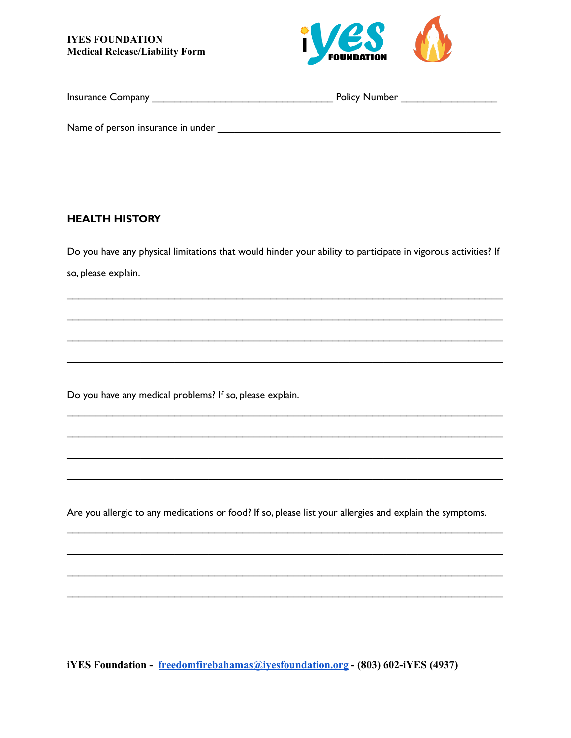**IYES FOUNDATION Medical Release/Liability Form** 



| <b>Insurance Company</b>          | <b>Policy Number</b> |
|-----------------------------------|----------------------|
|                                   |                      |
| Name of person insurance in under |                      |

### **HEALTH HISTORY**

Do you have any physical limitations that would hinder your ability to participate in vigorous activities? If so, please explain.

Do you have any medical problems? If so, please explain.

Are you allergic to any medications or food? If so, please list your allergies and explain the symptoms.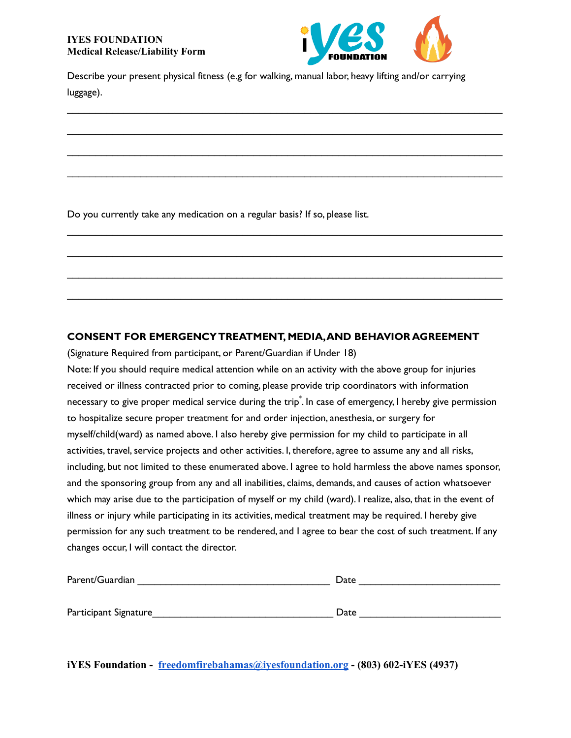

Describe your present physical fitness (e.g for walking, manual labor, heavy lifting and/or carrying luggage).

 $\_$  ,  $\_$  ,  $\_$  ,  $\_$  ,  $\_$  ,  $\_$  ,  $\_$  ,  $\_$  ,  $\_$  ,  $\_$  ,  $\_$  ,  $\_$  ,  $\_$  ,  $\_$  ,  $\_$  ,  $\_$  ,  $\_$  ,  $\_$  ,  $\_$  ,  $\_$  ,  $\_$  ,  $\_$  ,  $\_$  ,  $\_$  ,  $\_$  ,  $\_$  ,  $\_$  ,  $\_$  ,  $\_$  ,  $\_$  ,  $\_$  ,  $\_$  ,  $\_$  ,  $\_$  ,  $\_$  ,  $\_$  ,  $\_$  ,

 $\overline{\phantom{a}}$  , and the contribution of the contribution of the contribution of the contribution of the contribution of the contribution of the contribution of the contribution of the contribution of the contribution of the

 $\_$  ,  $\_$  ,  $\_$  ,  $\_$  ,  $\_$  ,  $\_$  ,  $\_$  ,  $\_$  ,  $\_$  ,  $\_$  ,  $\_$  ,  $\_$  ,  $\_$  ,  $\_$  ,  $\_$  ,  $\_$  ,  $\_$  ,  $\_$  ,  $\_$  ,  $\_$  ,  $\_$  ,  $\_$  ,  $\_$  ,  $\_$  ,  $\_$  ,  $\_$  ,  $\_$  ,  $\_$  ,  $\_$  ,  $\_$  ,  $\_$  ,  $\_$  ,  $\_$  ,  $\_$  ,  $\_$  ,  $\_$  ,  $\_$  ,

 $\_$  ,  $\_$  ,  $\_$  ,  $\_$  ,  $\_$  ,  $\_$  ,  $\_$  ,  $\_$  ,  $\_$  ,  $\_$  ,  $\_$  ,  $\_$  ,  $\_$  ,  $\_$  ,  $\_$  ,  $\_$  ,  $\_$  ,  $\_$  ,  $\_$  ,  $\_$  ,  $\_$  ,  $\_$  ,  $\_$  ,  $\_$  ,  $\_$  ,  $\_$  ,  $\_$  ,  $\_$  ,  $\_$  ,  $\_$  ,  $\_$  ,  $\_$  ,  $\_$  ,  $\_$  ,  $\_$  ,  $\_$  ,  $\_$  ,

 $\frac{1}{2}$  ,  $\frac{1}{2}$  ,  $\frac{1}{2}$  ,  $\frac{1}{2}$  ,  $\frac{1}{2}$  ,  $\frac{1}{2}$  ,  $\frac{1}{2}$  ,  $\frac{1}{2}$  ,  $\frac{1}{2}$  ,  $\frac{1}{2}$  ,  $\frac{1}{2}$  ,  $\frac{1}{2}$  ,  $\frac{1}{2}$  ,  $\frac{1}{2}$  ,  $\frac{1}{2}$  ,  $\frac{1}{2}$  ,  $\frac{1}{2}$  ,  $\frac{1}{2}$  ,  $\frac{1$ 

 $\_$  ,  $\_$  ,  $\_$  ,  $\_$  ,  $\_$  ,  $\_$  ,  $\_$  ,  $\_$  ,  $\_$  ,  $\_$  ,  $\_$  ,  $\_$  ,  $\_$  ,  $\_$  ,  $\_$  ,  $\_$  ,  $\_$  ,  $\_$  ,  $\_$  ,  $\_$  ,  $\_$  ,  $\_$  ,  $\_$  ,  $\_$  ,  $\_$  ,  $\_$  ,  $\_$  ,  $\_$  ,  $\_$  ,  $\_$  ,  $\_$  ,  $\_$  ,  $\_$  ,  $\_$  ,  $\_$  ,  $\_$  ,  $\_$  ,

 $\overline{\phantom{a}}$  , and the contribution of the contribution of the contribution of the contribution of the contribution of the contribution of the contribution of the contribution of the contribution of the contribution of the

 $\_$  ,  $\_$  ,  $\_$  ,  $\_$  ,  $\_$  ,  $\_$  ,  $\_$  ,  $\_$  ,  $\_$  ,  $\_$  ,  $\_$  ,  $\_$  ,  $\_$  ,  $\_$  ,  $\_$  ,  $\_$  ,  $\_$  ,  $\_$  ,  $\_$  ,  $\_$  ,  $\_$  ,  $\_$  ,  $\_$  ,  $\_$  ,  $\_$  ,  $\_$  ,  $\_$  ,  $\_$  ,  $\_$  ,  $\_$  ,  $\_$  ,  $\_$  ,  $\_$  ,  $\_$  ,  $\_$  ,  $\_$  ,  $\_$  ,

Do you currently take any medication on a regular basis? If so, please list.

## **CONSENT FOR EMERGENCYTREATMENT, MEDIA,AND BEHAVIOR AGREEMENT**

(Signature Required from participant, or Parent/Guardian if Under 18)

Note: If you should require medical attention while on an activity with the above group for injuries received or illness contracted prior to coming, please provide trip coordinators with information necessary to give proper medical service during the trip \* . In case of emergency, I hereby give permission to hospitalize secure proper treatment for and order injection, anesthesia, or surgery for myself/child(ward) as named above. I also hereby give permission for my child to participate in all activities, travel, service projects and other activities. I, therefore, agree to assume any and all risks, including, but not limited to these enumerated above. I agree to hold harmless the above names sponsor, and the sponsoring group from any and all inabilities, claims, demands, and causes of action whatsoever which may arise due to the participation of myself or my child (ward). I realize, also, that in the event of illness or injury while participating in its activities, medical treatment may be required. I hereby give permission for any such treatment to be rendered, and I agree to bear the cost of such treatment. If any changes occur, I will contact the director.

| Parent/Guardian        | Date |  |
|------------------------|------|--|
|                        |      |  |
| Participant Signature_ | Date |  |